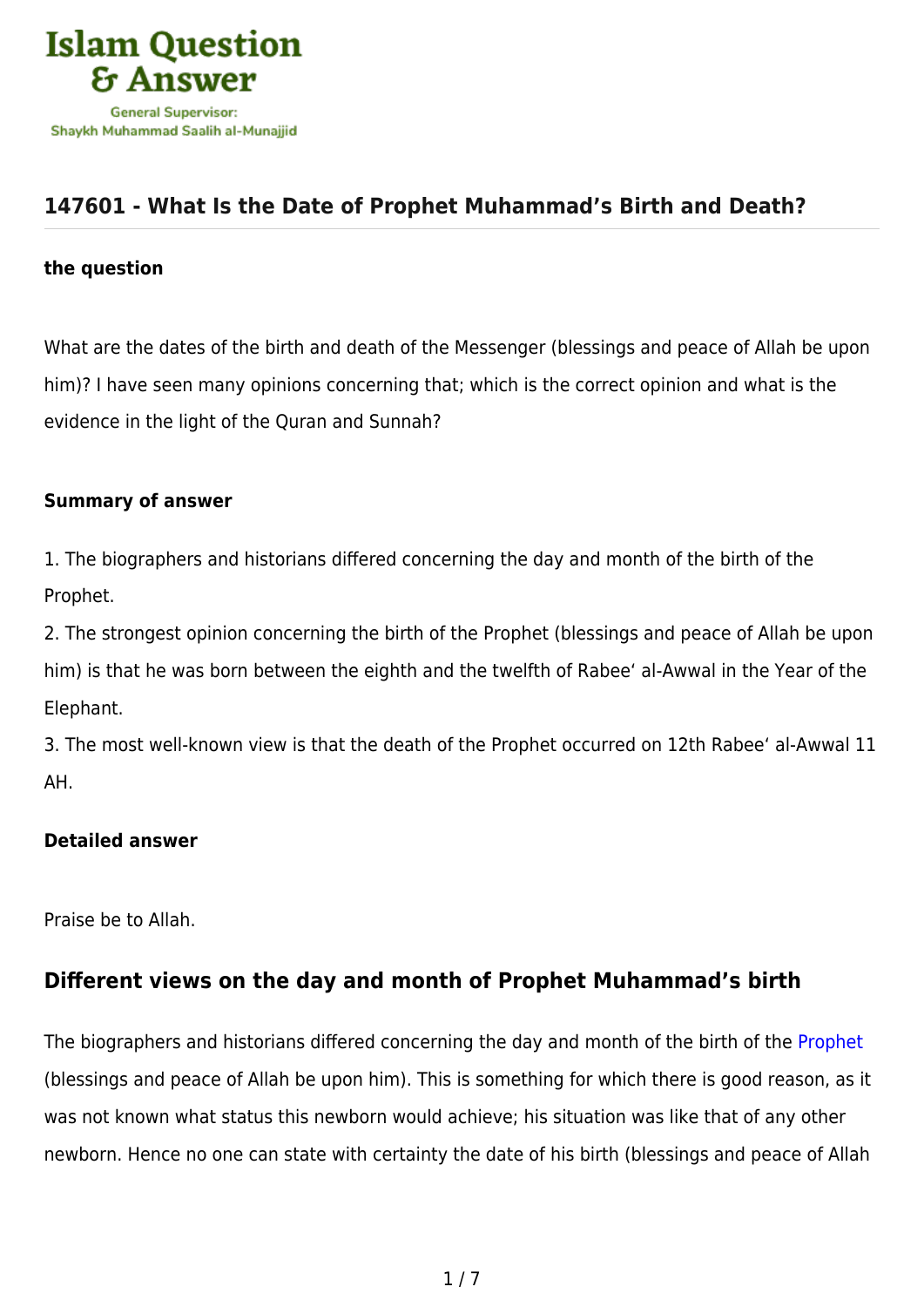

## **[147601 - What Is the Date of Prophet Muhammad's Birth and Death?](https://islamqa.com/en/answers/147601/what-is-the-date-of-prophet-muhammads-birth-and-death)**

#### **the question**

What are the dates of the birth and death of the Messenger (blessings and peace of Allah be upon him)? I have seen many opinions concerning that; which is the correct opinion and what is the evidence in the light of the Quran and Sunnah?

#### **Summary of answer**

1. The biographers and historians differed concerning the day and month of the birth of the Prophet.

2. The strongest opinion concerning the birth of the Prophet (blessings and peace of Allah be upon him) is that he was born between the eighth and the twelfth of Rabee' al-Awwal in the Year of the Elephant.

3. The most well-known view is that the death of the Prophet occurred on 12th Rabee' al-Awwal 11 AH.

#### **Detailed answer**

Praise be to Allah.

## **Different views on the day and month of Prophet Muhammad's birth**

The biographers and historians differed concerning the day and month of the birth of the [Prophet](https://islamqa.com/en/answers/11575) (blessings and peace of Allah be upon him). This is something for which there is good reason, as it was not known what status this newborn would achieve; his situation was like that of any other newborn. Hence no one can state with certainty the date of his birth (blessings and peace of Allah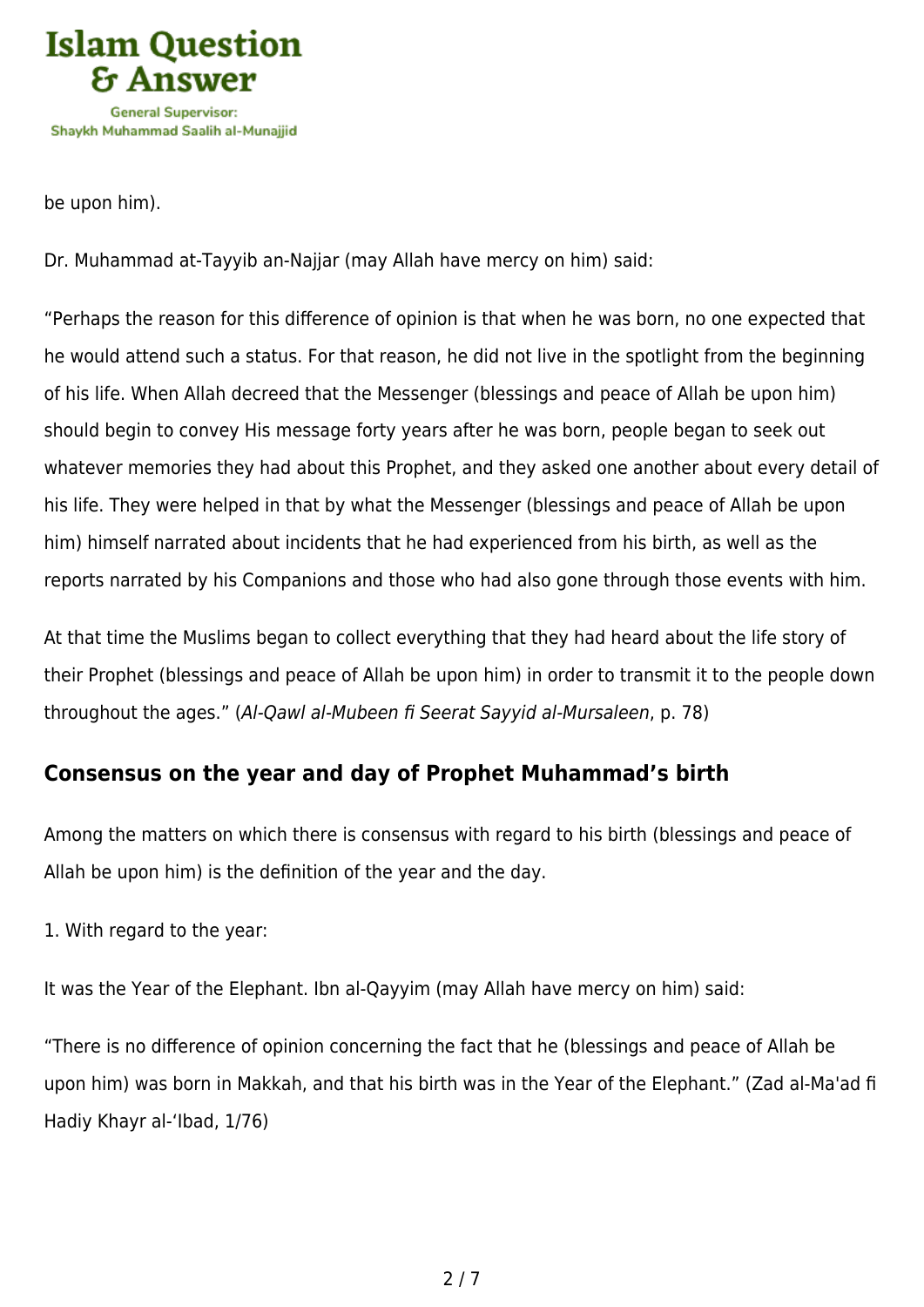

be upon him).

Dr. Muhammad at-Tayyib an-Najjar (may Allah have mercy on him) said:

"Perhaps the reason for this difference of opinion is that when he was born, no one expected that he would attend such a status. For that reason, he did not live in the spotlight from the beginning of his life. When Allah decreed that the Messenger (blessings and peace of Allah be upon him) should begin to convey His message forty years after he was born, people began to seek out whatever memories they had about this Prophet, and they asked one another about every detail of his life. They were helped in that by what the Messenger (blessings and peace of Allah be upon him) himself narrated about incidents that he had experienced from his birth, as well as the reports narrated by his Companions and those who had also gone through those events with him.

At that time the Muslims began to collect everything that they had heard about the life story of their Prophet (blessings and peace of Allah be upon him) in order to transmit it to the people down throughout the ages." (Al-Qawl al-Mubeen fi Seerat Sayyid al-Mursaleen, p. 78)

## **Consensus on the year and day of Prophet Muhammad's birth**

Among the matters on which there is consensus with regard to his birth (blessings and peace of Allah be upon him) is the definition of the year and the day.

1. With regard to the year:

It was the Year of the Elephant. Ibn al-Qayyim (may Allah have mercy on him) said:

"There is no difference of opinion concerning the fact that he (blessings and peace of Allah be upon him) was born in Makkah, and that his birth was in the Year of the Elephant." (Zad al-Ma'ad fi Hadiy Khayr al-'Ibad, 1/76)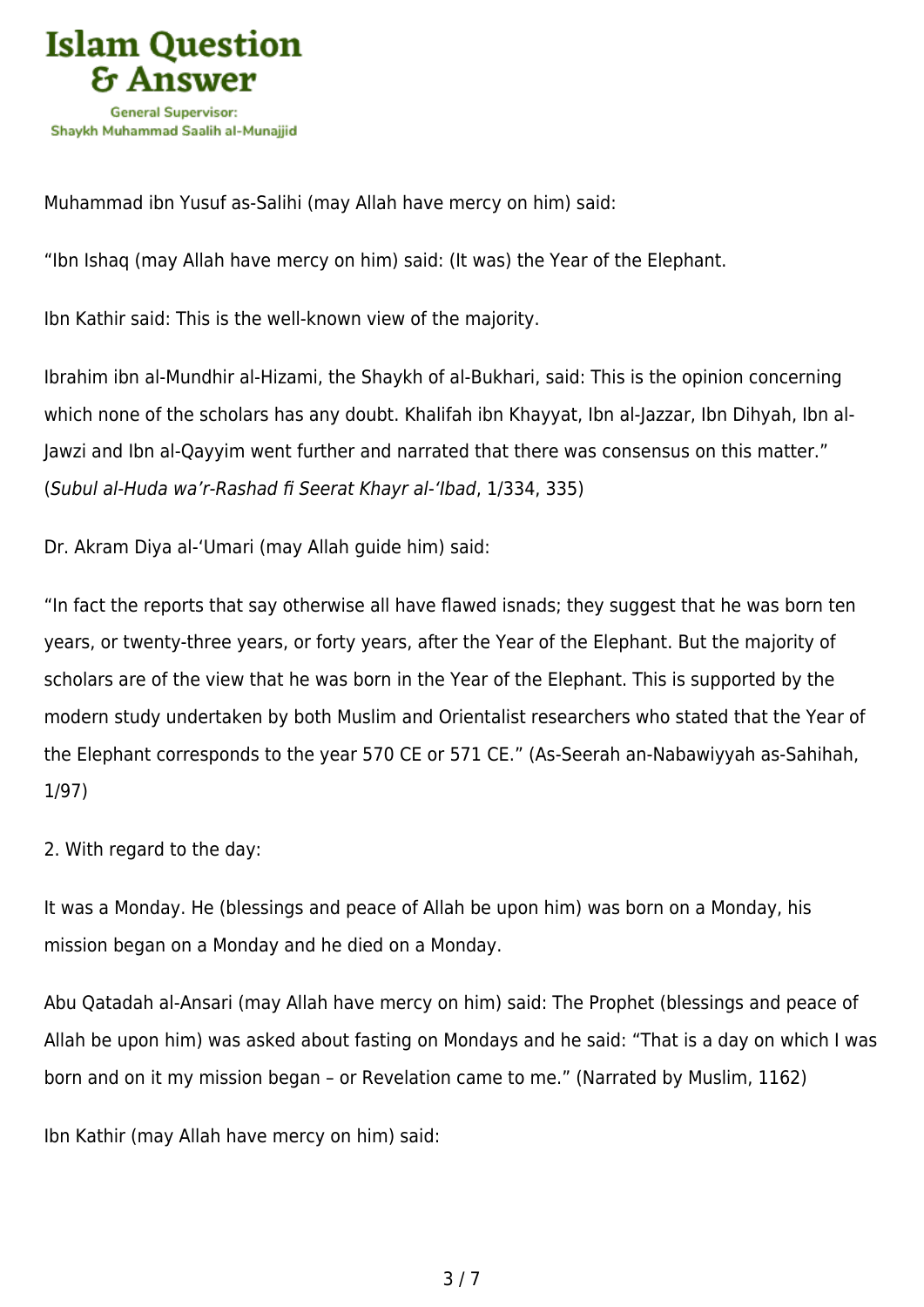

Muhammad ibn Yusuf as-Salihi (may Allah have mercy on him) said:

"Ibn Ishaq (may Allah have mercy on him) said: (It was) the Year of the Elephant.

Ibn Kathir said: This is the well-known view of the majority.

Ibrahim ibn al-Mundhir al-Hizami, the Shaykh of al-Bukhari, said: This is the opinion concerning which none of the scholars has any doubt. Khalifah ibn Khayyat, Ibn al-Jazzar, Ibn Dihyah, Ibn al-Jawzi and Ibn al-Qayyim went further and narrated that there was consensus on this matter." (Subul al-Huda wa'r-Rashad fi Seerat Khayr al-'Ibad, 1/334, 335)

Dr. Akram Diya al-'Umari (may Allah guide him) said:

"In fact the reports that say otherwise all have flawed isnads; they suggest that he was born ten years, or twenty-three years, or forty years, after the Year of the Elephant. But the majority of scholars are of the view that he was born in the Year of the Elephant. This is supported by the modern study undertaken by both Muslim and Orientalist researchers who stated that the Year of the Elephant corresponds to the year 570 CE or 571 CE." (As-Seerah an-Nabawiyyah as-Sahihah, 1/97)

2. With regard to the day:

It was a Monday. He (blessings and peace of Allah be upon him) was born on a Monday, his mission began on a Monday and he died on a Monday.

Abu Qatadah al-Ansari (may Allah have mercy on him) said: The Prophet (blessings and peace of Allah be upon him) was asked about fasting on Mondays and he said: "That is a day on which I was born and on it my mission began – or Revelation came to me." (Narrated by Muslim, 1162)

Ibn Kathir (may Allah have mercy on him) said: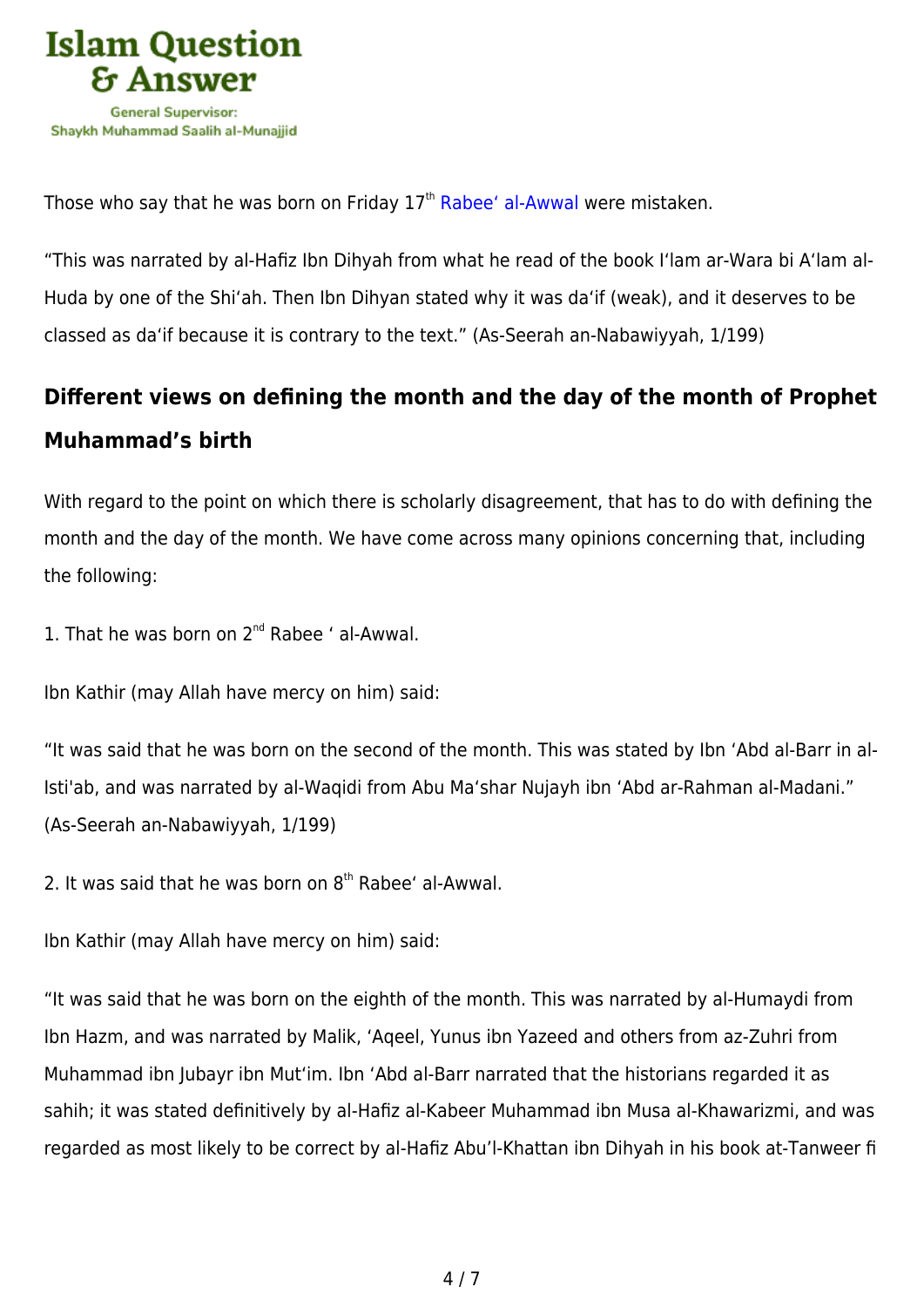

Those who say that he was born on Friday 17<sup>th</sup> [Rabee' al-Awwal](https://islamqa.com/en/answers/215135) were mistaken.

"This was narrated by al-Hafiz Ibn Dihyah from what he read of the book I'lam ar-Wara bi A'lam al-Huda by one of the Shi'ah. Then Ibn Dihyan stated why it was da'if (weak), and it deserves to be classed as da'if because it is contrary to the text." (As-Seerah an-Nabawiyyah, 1/199)

# **Different views on defining the month and the day of the month of Prophet Muhammad's birth**

With regard to the point on which there is scholarly disagreement, that has to do with defining the month and the day of the month. We have come across many opinions concerning that, including the following:

1. That he was born on 2<sup>nd</sup> Rabee ' al-Awwal.

Ibn Kathir (may Allah have mercy on him) said:

"It was said that he was born on the second of the month. This was stated by Ibn 'Abd al-Barr in al-Isti'ab, and was narrated by al-Waqidi from Abu Ma'shar Nujayh ibn 'Abd ar-Rahman al-Madani." (As-Seerah an-Nabawiyyah, 1/199)

2. It was said that he was born on  $8<sup>th</sup>$  Rabee' al-Awwal.

Ibn Kathir (may Allah have mercy on him) said:

"It was said that he was born on the eighth of the month. This was narrated by al-Humaydi from Ibn Hazm, and was narrated by Malik, 'Aqeel, Yunus ibn Yazeed and others from az-Zuhri from Muhammad ibn Jubayr ibn Mut'im. Ibn 'Abd al-Barr narrated that the historians regarded it as sahih; it was stated definitively by al-Hafiz al-Kabeer Muhammad ibn Musa al-Khawarizmi, and was regarded as most likely to be correct by al-Hafiz Abu'l-Khattan ibn Dihyah in his book at-Tanweer fi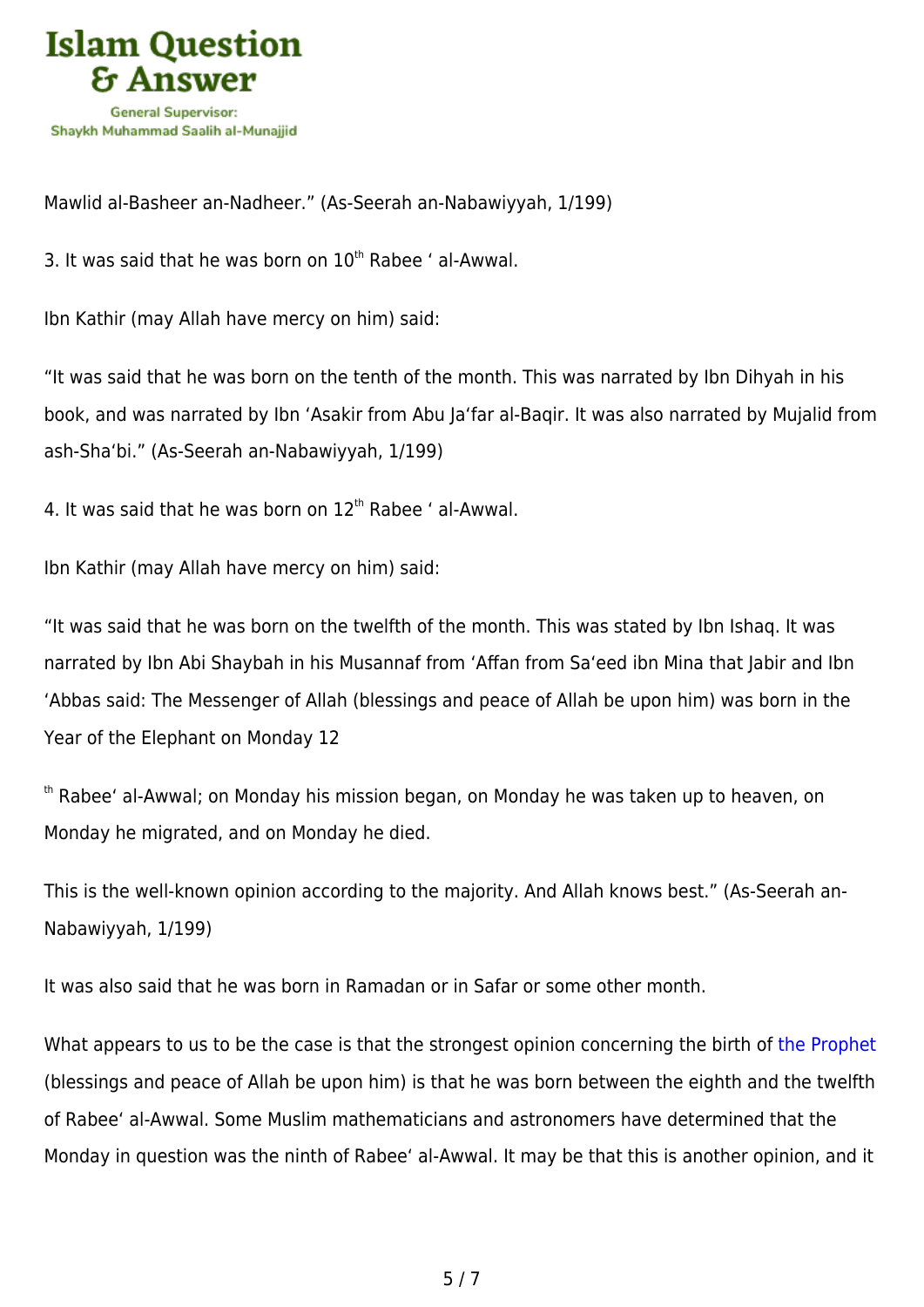

Mawlid al-Basheer an-Nadheer." (As-Seerah an-Nabawiyyah, 1/199)

3. It was said that he was born on  $10^{th}$  Rabee ' al-Awwal.

Ibn Kathir (may Allah have mercy on him) said:

"It was said that he was born on the tenth of the month. This was narrated by Ibn Dihyah in his book, and was narrated by Ibn 'Asakir from Abu Ja'far al-Baqir. It was also narrated by Mujalid from ash-Sha'bi." (As-Seerah an-Nabawiyyah, 1/199)

4. It was said that he was born on  $12<sup>th</sup>$  Rabee ' al-Awwal.

Ibn Kathir (may Allah have mercy on him) said:

"It was said that he was born on the twelfth of the month. This was stated by Ibn Ishaq. It was narrated by Ibn Abi Shaybah in his Musannaf from 'Affan from Sa'eed ibn Mina that Jabir and Ibn 'Abbas said: The Messenger of Allah (blessings and peace of Allah be upon him) was born in the Year of the Elephant on Monday 12

th Rabee' al-Awwal; on Monday his mission began, on Monday he was taken up to heaven, on Monday he migrated, and on Monday he died.

This is the well-known opinion according to the majority. And Allah knows best." (As-Seerah an-Nabawiyyah, 1/199)

It was also said that he was born in Ramadan or in Safar or some other month.

What appears to us to be the case is that the strongest opinion concerning the birth of [the Prophet](https://islamqa.com/en/answers/2036) (blessings and peace of Allah be upon him) is that he was born between the eighth and the twelfth of Rabee' al-Awwal. Some Muslim mathematicians and astronomers have determined that the Monday in question was the ninth of Rabee' al-Awwal. It may be that this is another opinion, and it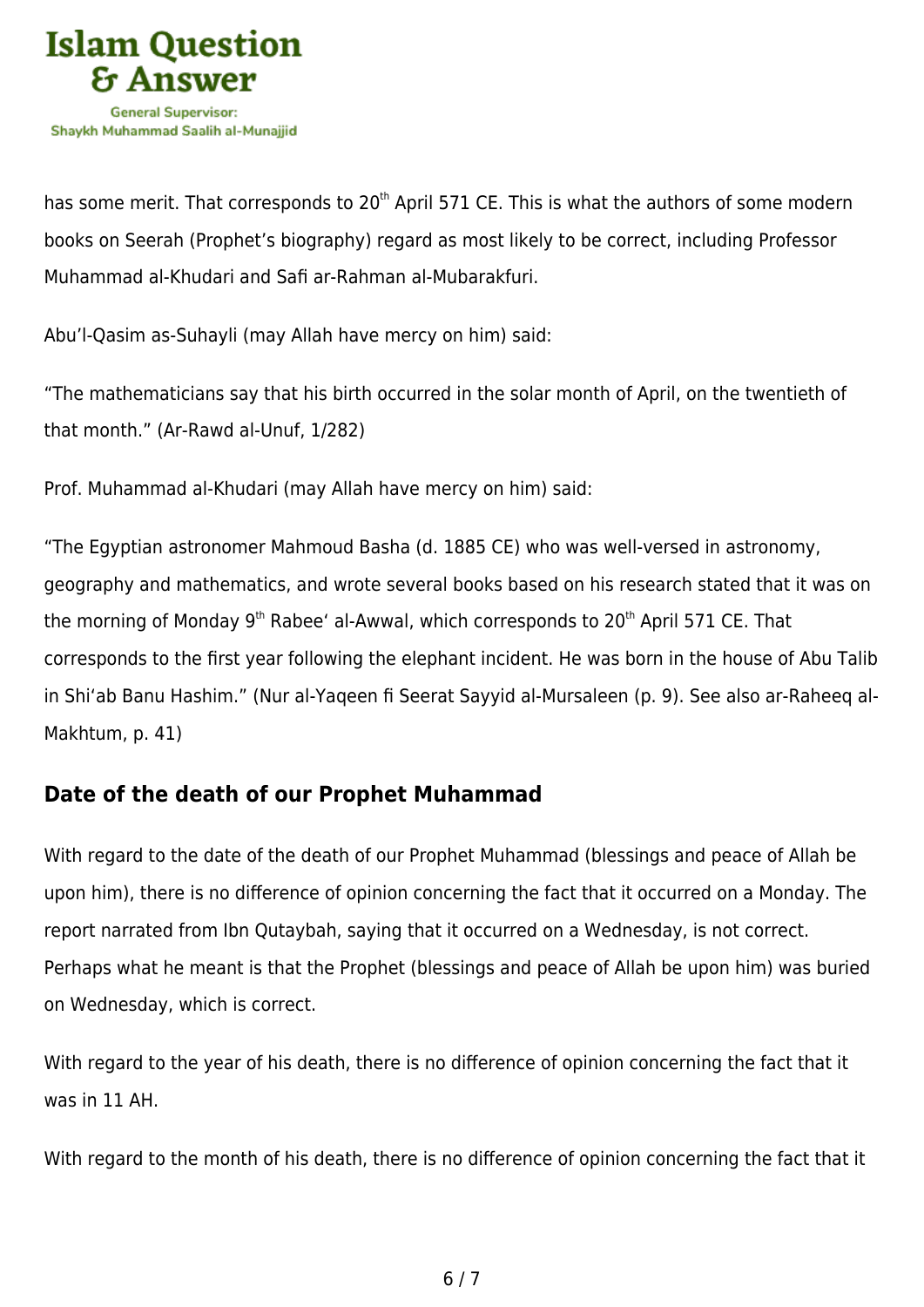

has some merit. That corresponds to 20<sup>th</sup> April 571 CE. This is what the authors of some modern books on Seerah (Prophet's biography) regard as most likely to be correct, including Professor Muhammad al-Khudari and Safi ar-Rahman al-Mubarakfuri.

Abu'l-Qasim as-Suhayli (may Allah have mercy on him) said:

"The mathematicians say that his birth occurred in the solar month of April, on the twentieth of that month." (Ar-Rawd al-Unuf, 1/282)

Prof. Muhammad al-Khudari (may Allah have mercy on him) said:

"The Egyptian astronomer Mahmoud Basha (d. 1885 CE) who was well-versed in astronomy, geography and mathematics, and wrote several books based on his research stated that it was on the morning of Monday  $9<sup>th</sup>$  Rabee' al-Awwal, which corresponds to  $20<sup>th</sup>$  April 571 CE. That corresponds to the first year following the elephant incident. He was born in the house of Abu Talib in Shi'ab Banu Hashim." (Nur al-Yaqeen fi Seerat Sayyid al-Mursaleen (p. 9). See also ar-Raheeq al-Makhtum, p. 41)

### **Date of the death of our Prophet Muhammad**

With regard to the date of the death of our Prophet Muhammad (blessings and peace of Allah be upon him), there is no difference of opinion concerning the fact that it occurred on a Monday. The report narrated from Ibn Qutaybah, saying that it occurred on a Wednesday, is not correct. Perhaps what he meant is that the Prophet (blessings and peace of Allah be upon him) was buried on Wednesday, which is correct.

With regard to the year of his death, there is no difference of opinion concerning the fact that it was in 11 AH.

With regard to the month of his death, there is no difference of opinion concerning the fact that it